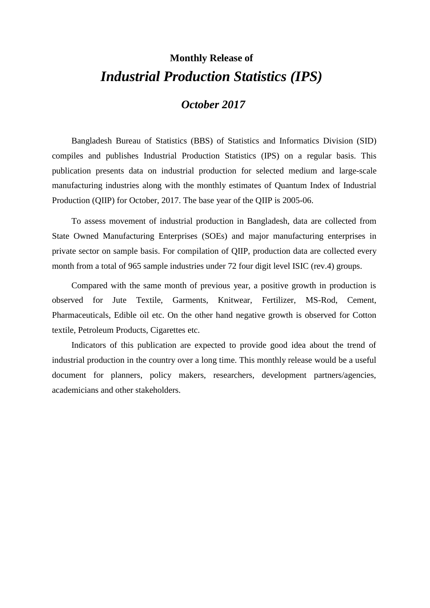# **Monthly Release of** *Industrial Production Statistics (IPS)*

### *October 2017*

Bangladesh Bureau of Statistics (BBS) of Statistics and Informatics Division (SID) compiles and publishes Industrial Production Statistics (IPS) on a regular basis. This publication presents data on industrial production for selected medium and large-scale manufacturing industries along with the monthly estimates of Quantum Index of Industrial Production (QIIP) for October, 2017. The base year of the QIIP is 2005-06.

To assess movement of industrial production in Bangladesh, data are collected from State Owned Manufacturing Enterprises (SOEs) and major manufacturing enterprises in private sector on sample basis. For compilation of QIIP, production data are collected every month from a total of 965 sample industries under 72 four digit level ISIC (rev.4) groups.

Compared with the same month of previous year, a positive growth in production is observed for Jute Textile, Garments, Knitwear, Fertilizer, MS-Rod, Cement, Pharmaceuticals, Edible oil etc. On the other hand negative growth is observed for Cotton textile, Petroleum Products, Cigarettes etc.

Indicators of this publication are expected to provide good idea about the trend of industrial production in the country over a long time. This monthly release would be a useful document for planners, policy makers, researchers, development partners/agencies, academicians and other stakeholders.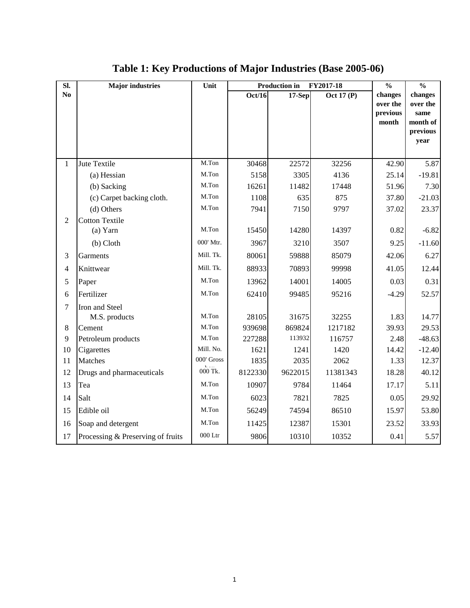| SI.            | <b>Major</b> industries           | Unit       |                | <b>Production in</b><br>FY2017-18 | $\frac{0}{0}$     | $\frac{0}{0}$                            |                                                             |
|----------------|-----------------------------------|------------|----------------|-----------------------------------|-------------------|------------------------------------------|-------------------------------------------------------------|
| N <sub>0</sub> |                                   |            | Oct/16         | $17-Sep$                          | Oct 17 $(P)$      | changes<br>over the<br>previous<br>month | changes<br>over the<br>same<br>month of<br>previous<br>year |
| $\mathbf{1}$   | Jute Textile                      | M.Ton      | 30468          | 22572                             | 32256             | 42.90                                    | 5.87                                                        |
|                | (a) Hessian                       | M.Ton      | 5158           | 3305                              | 4136              | 25.14                                    | $-19.81$                                                    |
|                | (b) Sacking                       | M.Ton      | 16261          | 11482                             | 17448             | 51.96                                    | 7.30                                                        |
|                | (c) Carpet backing cloth.         | M.Ton      | 1108           | 635                               | 875               | 37.80                                    | $-21.03$                                                    |
|                | (d) Others                        | M.Ton      | 7941           | 7150                              | 9797              | 37.02                                    | 23.37                                                       |
| $\overline{2}$ | <b>Cotton Textile</b>             |            |                |                                   |                   |                                          |                                                             |
|                | (a) Yarn                          | M.Ton      | 15450          | 14280                             | 14397             | 0.82                                     | $-6.82$                                                     |
|                | (b) Cloth                         | 000' Mtr.  | 3967           | 3210                              | 3507              | 9.25                                     | $-11.60$                                                    |
| 3              | Garments                          | Mill. Tk.  | 80061          | 59888                             | 85079             | 42.06                                    | 6.27                                                        |
| $\overline{4}$ | Knittwear                         | Mill. Tk.  | 88933          | 70893                             | 99998             | 41.05                                    | 12.44                                                       |
| 5              | Paper                             | M.Ton      | 13962          | 14001                             | 14005             | 0.03                                     | 0.31                                                        |
| 6              | Fertilizer                        | M.Ton      | 62410          | 99485                             | 95216             | $-4.29$                                  | 52.57                                                       |
| $\overline{7}$ | Iron and Steel                    | M.Ton      |                |                                   |                   |                                          |                                                             |
|                | M.S. products                     | M.Ton      | 28105          | 31675                             | 32255             | 1.83                                     | 14.77                                                       |
| 8<br>9         | Cement                            | M.Ton      | 939698         | 869824<br>113932                  | 1217182<br>116757 | 39.93<br>2.48                            | 29.53                                                       |
| 10             | Petroleum products<br>Cigarettes  | Mill. No.  | 227288<br>1621 | 1241                              | 1420              | 14.42                                    | $-48.63$<br>$-12.40$                                        |
| 11             | <b>Matches</b>                    | 000' Gross | 1835           | 2035                              | 2062              | 1.33                                     | 12.37                                                       |
| 12             | Drugs and pharmaceuticals         | $000$ Tk.  | 8122330        | 9622015                           | 11381343          | 18.28                                    | 40.12                                                       |
| 13             | Tea                               | M.Ton      | 10907          | 9784                              | 11464             | 17.17                                    | 5.11                                                        |
| 14             | Salt                              | M.Ton      | 6023           | 7821                              | 7825              | 0.05                                     | 29.92                                                       |
| 15             | Edible oil                        | M.Ton      | 56249          | 74594                             | 86510             | 15.97                                    | 53.80                                                       |
| 16             | Soap and detergent                | M.Ton      | 11425          | 12387                             | 15301             | 23.52                                    | 33.93                                                       |
| 17             | Processing & Preserving of fruits | $000$ Ltr  | 9806           | 10310                             | 10352             | 0.41                                     | 5.57                                                        |

## **Table 1: Key Productions of Major Industries (Base 2005-06)**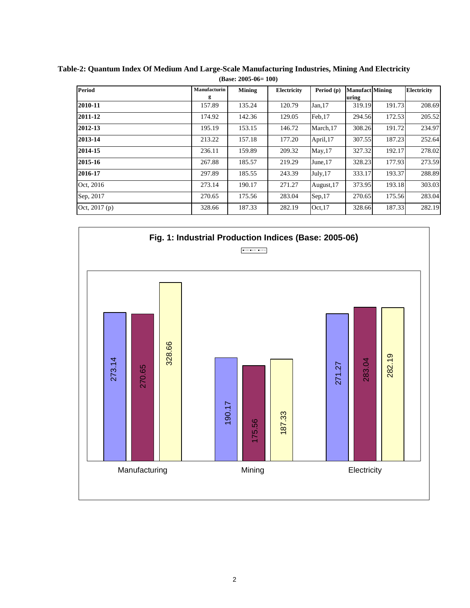| Period         | Manufacturin | <b>Mining</b> | Electricity | Period $(p)$ | <b>Manufact Mining</b> |        | <b>Electricity</b> |
|----------------|--------------|---------------|-------------|--------------|------------------------|--------|--------------------|
|                | g            |               |             |              | uring                  |        |                    |
| 2010-11        | 157.89       | 135.24        | 120.79      | Jan, 17      | 319.19                 | 191.73 | 208.69             |
| 2011-12        | 174.92       | 142.36        | 129.05      | Feb.17       | 294.56                 | 172.53 | 205.52             |
| 2012-13        | 195.19       | 153.15        | 146.72      | March, 17    | 308.26                 | 191.72 | 234.97             |
| 2013-14        | 213.22       | 157.18        | 177.20      | April, 17    | 307.55                 | 187.23 | 252.64             |
| 2014-15        | 236.11       | 159.89        | 209.32      | May, 17      | 327.32                 | 192.17 | 278.02             |
| 2015-16        | 267.88       | 185.57        | 219.29      | June, 17     | 328.23                 | 177.93 | 273.59             |
| 2016-17        | 297.89       | 185.55        | 243.39      | July, 17     | 333.17                 | 193.37 | 288.89             |
| Oct. 2016      | 273.14       | 190.17        | 271.27      | August, 17   | 373.95                 | 193.18 | 303.03             |
| Sep, 2017      | 270.65       | 175.56        | 283.04      | Sep,17       | 270.65                 | 175.56 | 283.04             |
| Oct, $2017(p)$ | 328.66       | 187.33        | 282.19      | Oct.17       | 328.66                 | 187.33 | 282.19             |

**Table-2: Quantum Index Of Medium And Large-Scale Manufacturing Industries, Mining And Electricity (Base: 2005-06= 100)**

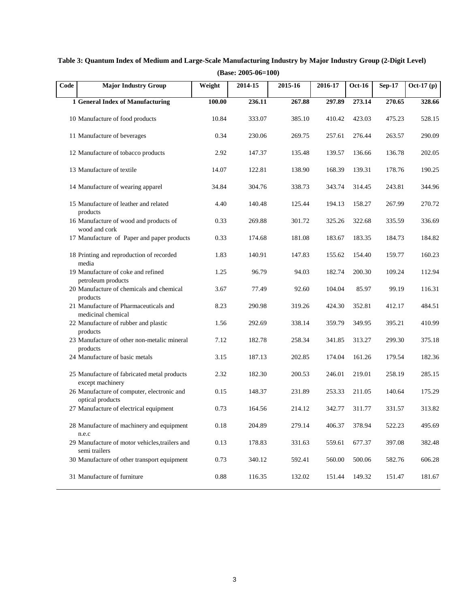| (Base: 2005-06=100) |                                                                 |        |         |         |         |               |               |             |
|---------------------|-----------------------------------------------------------------|--------|---------|---------|---------|---------------|---------------|-------------|
| Code                | <b>Major Industry Group</b>                                     | Weight | 2014-15 | 2015-16 | 2016-17 | <b>Oct-16</b> | <b>Sep-17</b> | $Oct-17(p)$ |
|                     | 1 General Index of Manufacturing                                | 100.00 | 236.11  | 267.88  | 297.89  | 273.14        | 270.65        | 328.66      |
|                     | 10 Manufacture of food products                                 | 10.84  | 333.07  | 385.10  | 410.42  | 423.03        | 475.23        | 528.15      |
|                     | 11 Manufacture of beverages                                     | 0.34   | 230.06  | 269.75  | 257.61  | 276.44        | 263.57        | 290.09      |
|                     | 12 Manufacture of tobacco products                              | 2.92   | 147.37  | 135.48  | 139.57  | 136.66        | 136.78        | 202.05      |
|                     | 13 Manufacture of textile                                       | 14.07  | 122.81  | 138.90  | 168.39  | 139.31        | 178.76        | 190.25      |
|                     | 14 Manufacture of wearing apparel                               | 34.84  | 304.76  | 338.73  | 343.74  | 314.45        | 243.81        | 344.96      |
|                     | 15 Manufacture of leather and related<br>products               | 4.40   | 140.48  | 125.44  | 194.13  | 158.27        | 267.99        | 270.72      |
|                     | 16 Manufacture of wood and products of<br>wood and cork         | 0.33   | 269.88  | 301.72  | 325.26  | 322.68        | 335.59        | 336.69      |
|                     | 17 Manufacture of Paper and paper products                      | 0.33   | 174.68  | 181.08  | 183.67  | 183.35        | 184.73        | 184.82      |
|                     | 18 Printing and reproduction of recorded<br>media               | 1.83   | 140.91  | 147.83  | 155.62  | 154.40        | 159.77        | 160.23      |
|                     | 19 Manufacture of coke and refined<br>petroleum products        | 1.25   | 96.79   | 94.03   | 182.74  | 200.30        | 109.24        | 112.94      |
|                     | 20 Manufacture of chemicals and chemical<br>products            | 3.67   | 77.49   | 92.60   | 104.04  | 85.97         | 99.19         | 116.31      |
|                     | 21 Manufacture of Pharmaceuticals and<br>medicinal chemical     | 8.23   | 290.98  | 319.26  | 424.30  | 352.81        | 412.17        | 484.51      |
|                     | 22 Manufacture of rubber and plastic<br>products                | 1.56   | 292.69  | 338.14  | 359.79  | 349.95        | 395.21        | 410.99      |
|                     | 23 Manufacture of other non-metalic mineral<br>products         | 7.12   | 182.78  | 258.34  | 341.85  | 313.27        | 299.30        | 375.18      |
|                     | 24 Manufacture of basic metals                                  | 3.15   | 187.13  | 202.85  | 174.04  | 161.26        | 179.54        | 182.36      |
|                     | 25 Manufacture of fabricated metal products<br>except machinery | 2.32   | 182.30  | 200.53  | 246.01  | 219.01        | 258.19        | 285.15      |
|                     | 26 Manufacture of computer, electronic and<br>optical products  | 0.15   | 148.37  | 231.89  | 253.33  | 211.05        | 140.64        | 175.29      |
|                     | 27 Manufacture of electrical equipment                          | 0.73   | 164.56  | 214.12  | 342.77  | 311.77        | 331.57        | 313.82      |
|                     | 28 Manufacture of machinery and equipment<br>n.e.c              | 0.18   | 204.89  | 279.14  | 406.37  | 378.94        | 522.23        | 495.69      |
|                     | 29 Manufacture of motor vehicles, trailers and                  | 0.13   | 178.83  | 331.63  | 559.61  | 677.37        | 397.08        | 382.48      |
|                     | semi trailers<br>30 Manufacture of other transport equipment    | 0.73   | 340.12  | 592.41  | 560.00  | 500.06        | 582.76        | 606.28      |
|                     | 31 Manufacture of furniture                                     | 0.88   | 116.35  | 132.02  | 151.44  | 149.32        | 151.47        | 181.67      |

**Table 3: Quantum Index of Medium and Large-Scale Manufacturing Industry by Major Industry Group (2-Digit Level)**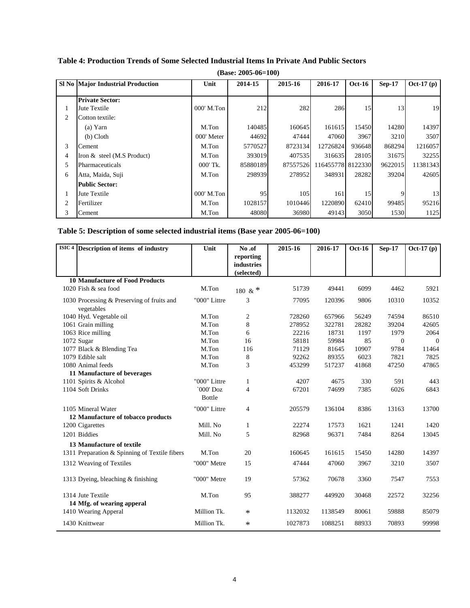|                | (Base: $2005-06=100$ )            |              |          |          |                   |               |          |             |  |
|----------------|-----------------------------------|--------------|----------|----------|-------------------|---------------|----------|-------------|--|
|                | SI No Major Industrial Production | Unit         | 2014-15  | 2015-16  | 2016-17           | <b>Oct-16</b> | $Sep-17$ | $Oct-17(p)$ |  |
|                | <b>Private Sector:</b>            |              |          |          |                   |               |          |             |  |
| $\perp$        | Jute Textile                      | $000'$ M.Ton | 212      | 282      | 286               | 15            | 13       | 19          |  |
| $\overline{c}$ | Cotton textile:                   |              |          |          |                   |               |          |             |  |
|                | (a) Yarn                          | M.Ton        | 140485   | 160645   | 161615            | 15450         | 14280    | 14397       |  |
|                | $(b)$ Cloth                       | 000' Meter   | 44692    | 47444    | 47060             | 3967          | 3210     | 3507        |  |
| 3              | Cement                            | M.Ton        | 5770527  | 8723134  | 12726824          | 936648        | 868294   | 1216057     |  |
| 4              | Iron $&$ steel (M.S Product)      | M.Ton        | 393019   | 407535   | 316635            | 28105         | 31675    | 32255       |  |
| 5              | Pharmaceuticals                   | $000'$ Tk.   | 85880189 | 87557526 | 116455778 8122330 |               | 9622015  | 11381343    |  |
| 6              | Atta, Maida, Suji                 | M.Ton        | 298939   | 278952   | 348931            | 28282         | 39204    | 42605       |  |
|                | <b>Public Sector:</b>             |              |          |          |                   |               |          |             |  |
| $\perp$        | Jute Textile                      | $000'$ M.Ton | 95       | 105      | 161               | 15            |          | 13          |  |
| 2              | Fertilizer                        | M.Ton        | 1028157  | 1010446  | 1220890           | 62410         | 99485    | 95216       |  |
| 3              | Cement                            | M.Ton        | 48080    | 36980    | 49143             | 3050          | 1530     | 1125        |  |

### **Table 4: Production Trends of Some Selected Industrial Items In Private And Public Sectors**

### **Table 5: Description of some selected industrial items (Base year 2005-06=100)**

| ISIC <sub>4</sub> | Description of items of industry                         | Unit          | No.of             | 2015-16 | 2016-17 | <b>Oct-16</b> | $Sep-17$       | $Oct-17(p)$ |
|-------------------|----------------------------------------------------------|---------------|-------------------|---------|---------|---------------|----------------|-------------|
|                   |                                                          |               | reporting         |         |         |               |                |             |
|                   |                                                          |               | <b>industries</b> |         |         |               |                |             |
|                   |                                                          |               | (selected)        |         |         |               |                |             |
|                   | <b>10 Manufacture of Food Products</b>                   |               |                   |         |         |               |                |             |
|                   | 1020 Fish & sea food                                     | M.Ton         | 180 & $*$         | 51739   | 49441   | 6099          | 4462           | 5921        |
|                   | 1030 Processing & Preserving of fruits and<br>vegetables | "000" Littre  | 3                 | 77095   | 120396  | 9806          | 10310          | 10352       |
|                   | 1040 Hyd. Vegetable oil                                  | M.Ton         | 2                 | 728260  | 657966  | 56249         | 74594          | 86510       |
|                   | 1061 Grain milling                                       | M.Ton         | 8                 | 278952  | 322781  | 28282         | 39204          | 42605       |
|                   | 1063 Rice milling                                        | M.Ton         | 6                 | 22216   | 18731   | 1197          | 1979           | 2064        |
|                   | 1072 Sugar                                               | M.Ton         | 16                | 58181   | 59984   | 85            | $\overline{0}$ | $\Omega$    |
|                   | 1077 Black & Blending Tea                                | M.Ton         | 116               | 71129   | 81645   | 10907         | 9784           | 11464       |
|                   | 1079 Edible salt                                         | M.Ton         | 8                 | 92262   | 89355   | 6023          | 7821           | 7825        |
|                   | 1080 Animal feeds                                        | M.Ton         | 3                 | 453299  | 517237  | 41868         | 47250          | 47865       |
|                   | 11 Manufacture of beverages                              |               |                   |         |         |               |                |             |
|                   | 1101 Spirits & Alcohol                                   | "000" Littre  | 1                 | 4207    | 4675    | 330           | 591            | 443         |
|                   | 1104 Soft Drinks                                         | `000' Doz     | 4                 | 67201   | 74699   | 7385          | 6026           | 6843        |
|                   |                                                          | <b>Bottle</b> |                   |         |         |               |                |             |
|                   | 1105 Mineral Water                                       | "000" Littre  | 4                 | 205579  | 136104  | 8386          | 13163          | 13700       |
|                   | 12 Manufacture of tobacco products                       |               |                   |         |         |               |                |             |
|                   | 1200 Cigarettes                                          | Mill. No      | 1                 | 22274   | 17573   | 1621          | 1241           | 1420        |
|                   | 1201 Biddies                                             | Mill. No      | 5                 | 82968   | 96371   | 7484          | 8264           | 13045       |
|                   | 13 Manufacture of textile                                |               |                   |         |         |               |                |             |
|                   | 1311 Preparation & Spinning of Textile fibers            | M.Ton         | 20                | 160645  | 161615  | 15450         | 14280          | 14397       |
|                   | 1312 Weaving of Textiles                                 | "000" Metre   | 15                | 47444   | 47060   | 3967          | 3210           | 3507        |
|                   |                                                          |               |                   |         |         |               |                |             |
|                   | 1313 Dyeing, bleaching & finishing                       | "000" Metre   | 19                | 57362   | 70678   | 3360          | 7547           | 7553        |
|                   |                                                          |               |                   |         |         |               |                |             |
|                   | 1314 Jute Textile                                        | M.Ton         | 95                | 388277  | 449920  | 30468         | 22572          | 32256       |
|                   | 14 Mfg. of wearing apperal                               |               |                   |         |         |               |                |             |
|                   | 1410 Wearing Apperal                                     | Million Tk.   | $\ast$            | 1132032 | 1138549 | 80061         | 59888          | 85079       |
|                   | 1430 Knittwear                                           | Million Tk.   | $\ast$            | 1027873 | 1088251 | 88933         | 70893          | 99998       |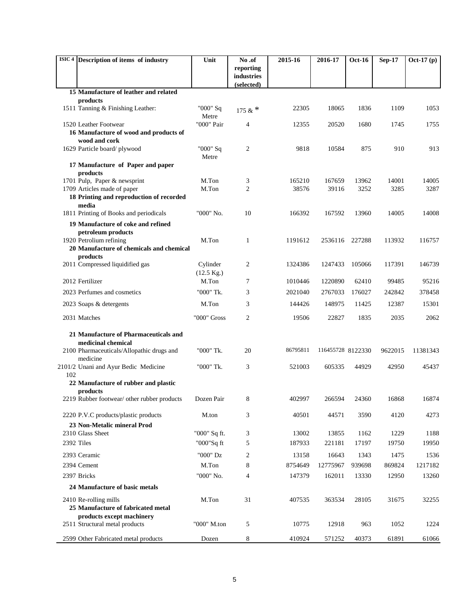|            | ISIC <sup>4</sup> Description of items of industry                      | Unit                             | No.of                    | 2015-16  | 2016-17           | <b>Oct-16</b> | <b>Sep-17</b> | Oct-17 (p) |
|------------|-------------------------------------------------------------------------|----------------------------------|--------------------------|----------|-------------------|---------------|---------------|------------|
|            |                                                                         |                                  | reporting                |          |                   |               |               |            |
|            |                                                                         |                                  | industries<br>(selected) |          |                   |               |               |            |
|            | 15 Manufacture of leather and related                                   |                                  |                          |          |                   |               |               |            |
|            | products                                                                |                                  |                          |          |                   |               |               |            |
|            | 1511 Tanning & Finishing Leather:                                       | "000" Sq<br>Metre                | 175 & $*$                | 22305    | 18065             | 1836          | 1109          | 1053       |
|            | 1520 Leather Footwear                                                   | "000" Pair                       | $\overline{4}$           | 12355    | 20520             | 1680          | 1745          | 1755       |
|            | 16 Manufacture of wood and products of                                  |                                  |                          |          |                   |               |               |            |
|            | wood and cork<br>1629 Particle board/plywood                            | "000" Sq                         | $\overline{c}$           | 9818     | 10584             | 875           | 910           | 913        |
|            |                                                                         | Metre                            |                          |          |                   |               |               |            |
|            | 17 Manufacture of Paper and paper<br>products                           |                                  |                          |          |                   |               |               |            |
|            | 1701 Pulp, Paper & newsprint                                            | M.Ton                            | 3                        | 165210   | 167659            | 13962         | 14001         | 14005      |
|            | 1709 Articles made of paper<br>18 Printing and reproduction of recorded | M.Ton                            | $\overline{c}$           | 38576    | 39116             | 3252          | 3285          | 3287       |
|            | media                                                                   |                                  |                          |          |                   |               |               |            |
|            | 1811 Printing of Books and periodicals                                  | "000" No.                        | 10                       | 166392   | 167592            | 13960         | 14005         | 14008      |
|            | 19 Manufacture of coke and refined                                      |                                  |                          |          |                   |               |               |            |
|            | petroleum products                                                      | M.Ton                            | $\mathbf{1}$             | 1191612  | 2536116           | 227288        | 113932        | 116757     |
|            | 1920 Petrolium refining<br>20 Manufacture of chemicals and chemical     |                                  |                          |          |                   |               |               |            |
|            | products                                                                |                                  |                          |          |                   |               |               |            |
|            | 2011 Compressed liquidified gas                                         | Cylinder<br>$(12.5 \text{ Kg.})$ | 2                        | 1324386  | 1247433           | 105066        | 117391        | 146739     |
|            | 2012 Fertilizer                                                         | M.Ton                            | 7                        | 1010446  | 1220890           | 62410         | 99485         | 95216      |
|            | 2023 Perfumes and cosmetics                                             | "000" Tk.                        | 3                        | 2021040  | 2767033           | 176027        | 242842        | 378458     |
|            | 2023 Soaps & detergents                                                 | M.Ton                            | 3                        | 144426   | 148975            | 11425         | 12387         | 15301      |
|            | 2031 Matches                                                            | "000" Gross                      | 2                        | 19506    | 22827             | 1835          | 2035          | 2062       |
|            | 21 Manufacture of Pharmaceuticals and                                   |                                  |                          |          |                   |               |               |            |
|            | medicinal chemical                                                      |                                  |                          |          |                   |               |               |            |
|            | 2100 Pharmaceuticals/Allopathic drugs and<br>medicine                   | "000" Tk.                        | 20                       | 86795811 | 116455728 8122330 |               | 9622015       | 11381343   |
| 102        | 2101/2 Unani and Ayur Bedic Medicine                                    | "000" Tk.                        | 3                        | 521003   | 605335            | 44929         | 42950         | 45437      |
|            | 22 Manufacture of rubber and plastic                                    |                                  |                          |          |                   |               |               |            |
|            | products                                                                |                                  |                          |          |                   |               |               |            |
|            | 2219 Rubber footwear/ other rubber products Dozen Pair                  |                                  | 8                        | 402997   | 266594            | 24360         | 16868         | 16874      |
|            | 2220 P.V.C products/plastic products                                    | M.ton                            | 3                        | 40501    | 44571             | 3590          | 4120          | 4273       |
|            | 23 Non-Metalic mineral Prod                                             |                                  |                          |          |                   |               |               |            |
|            | 2310 Glass Sheet                                                        | "000" Sq ft.                     | 3                        | 13002    | 13855             | 1162          | 1229          | 1188       |
| 2392 Tiles |                                                                         | "000"Sq ft                       | 5                        | 187933   | 221181            | 17197         | 19750         | 19950      |
|            | 2393 Ceramic                                                            | "000" Dz                         | $\overline{c}$           | 13158    | 16643             | 1343          | 1475          | 1536       |
|            | 2394 Cement                                                             | M.Ton                            | 8                        | 8754649  | 12775967          | 939698        | 869824        | 1217182    |
|            | 2397 Bricks                                                             | "000" No.                        | $\overline{4}$           | 147379   | 162011            | 13330         | 12950         | 13260      |
|            | 24 Manufacture of basic metals                                          |                                  |                          |          |                   |               |               |            |
|            | 2410 Re-rolling mills                                                   | M.Ton                            | 31                       | 407535   | 363534            | 28105         | 31675         | 32255      |
|            | 25 Manufacture of fabricated metal<br>products except machinery         |                                  |                          |          |                   |               |               |            |
|            | 2511 Structural metal products                                          | "000" M.ton                      | 5                        | 10775    | 12918             | 963           | 1052          | 1224       |
|            | 2599 Other Fabricated metal products                                    | Dozen                            | $\,8\,$                  | 410924   | 571252            | 40373         | 61891         | 61066      |